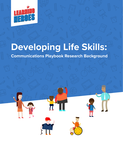

# **Developing Life Skills:**

**Communications Playbook Research Background**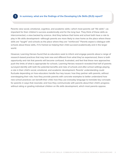# **1** In summary, what are the findings of the Developing Life Skills (DLS) report?

Parents view social, emotional, cognitive, and academic skills—which most parents call "life skills"—as important for their children's success academically and for the long haul. They think of these skills as interconnected, a view backed by science. And they believe that home and school both have a role to play in life skills development—although parents are more likely to view home as the place where these skills are "taught" and schools as the place where they are "reinforced." Parents expect a dialogue with schools about these skills, if it's framed as helping their child succeed academically and in the larger world.

However, Learning Heroes found that as educators seek to inform and engage parents about a range of research-based practices that may look new and different from what they've experienced, there is both opportunity and risk that parents will become confused, frustrated, and feel that these new approaches push the limits of what is appropriate for schools. Learning Heroes research revealed that half of parents surveyed identify with both the potential benefits and risks of schools and after-school settings playing a role in their child's social, emotional, and academic development. Parents' understanding could fluctuate depending on how educators handle four key issues: how they partner with parents, without overstepping their role; how they provide parents with concrete examples to better understand how new school practices can benefit their child; how they use everyday language to translate key concepts for parents in ways that resonate; and how they communicate with parents about their child's progress without rating or grading individual children on life skills development, which most parents oppose.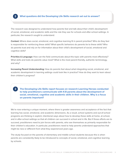

**3**

## **What questions did the Developing Life Skills research set out to answer?**

The research was designed to understand how parents feel and talk about their child's development of social, emotional, and academic skills and the role they see for schools and after-school settings. In particular, the research sought to understand:

**Context:** Where does social, emotional, and cognitive learning fit in parent priorities? Who do they feel is responsible for reinforcing these skills? What specific behaviors do parents tie to these skills? Who do parents trust and rely on for information about their child's development of social, emotional and cognitive skills?

**Priorities & Language:** How can the field communicate about this topic with parents most effectively? What skills and traits do parents value most? What is the most parent-friendly, authentic terminology, and why?

**Increasing Parent Understanding:** How do parents feel about what integrating social, emotional, and academic development in learning settings could look like in practice? How do they want to learn about their children's progress?

**The Developing Life Skills report focuses on research Learning Heroes conducted to help practitioners communicate with K-8 parents about the development of social, emotional, cognitive and academic skills in their children. Why is a focus on parents important?** 

We're now entering a unique moment, where there is greater awareness and acceptance of the fact that learning has social, emotional, and academic dimensions. As a result, school systems and out-of-school programs are thinking in explicit, intentional ways about how to develop these skills at home, at school, and in after-school settings so that all children can succeed in school and in life. But if those efforts are to succeed, practitioners need to join forces with parents, who see themselves as primarily responsible for their children's education. In particular, practitioners need to help parents understand approaches that might be new or different from what they experienced years ago.

The study focused on the parents of elementary and middle school students because this is when parents are consistently likely to be introduced to concepts of social, emotional, and cognitive learning by schools.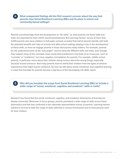# **What unexpected findings did the DLS research uncover about the way that parents view Social Emotional Learning (SEL) and its place in school and community-based settings?**

**4**

**5**

Parents overwhelmingly think the development of "life skills," as most parents call these skills and traits, are important for their child's overall development. But Learning Heroes' survey of more than 2,000 parents who have children in K-8 public schools revealed that half of parents identify with both the potential benefits and risks of schools and after-school settings playing a role in the development of these skills, so how we engage parents in these discussions really matters. For example, parents do not understand some of the "edu-jargon" used to describe different skills and traits, even though they support many of the concepts. Even words that practitioners may think of as innocuous, such as "curiosity" or "resilience," can have negative connotations for parents. For example, middle school parents, in particular, worry about their children being curious about the wrong things, especially because of peer pressure. And many parents want to shield their children from the types of adverse experiences that might require resilience. So how we talk about social, emotional, and cognitive learning in ways that translate for parents became a big focus of the *Developing Life Skills* report.

# **Why did you broaden the scope from Social Emotional Learning (SEL) to include a wider range of "social, emotional, cognitive and academic" skills or traits?**

Research has found that the social, emotional, cognitive, and academic dimensions of learning are deeply connected. Moreover, in focus groups, parents prioritized a wide range of skills across these dimensions and that was confirmed in the nationally representative survey of parents. Learning Heroes wanted to be true to both the range of skills reflected in various frameworks and to what parents want for their children.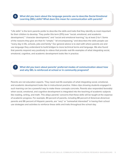**6 What did you learn about the language parents use to describe Social Emotional Learning (SEL) skills? What does this mean for communication with parents?**

"Life skills" is the term parents prefer to describe the skills and traits that they identify as most important for their children to develop. They prefer this term (31%) over "social, emotional, and academic development," "character development," and "social and emotional learning," by at least 2-to-1. Some of the reasons they give are that it's "simple," "all encompassing," and describes the skills people use "every day in life, schools, jobs and family." Our general advice is to start with where parents are and use language they understand to build bridges to more technical terms and language. We also found that parents respond very positively to videos that provide real-life examples of what integrating social, emotional, cognitive, and academic development looks like in practice.

#### **What did you learn about parents' preferred modes of communication about how and why SEL is reinforced at school or in community programs?**

**7**

Parents are not education experts. They need real-life examples of what integrating social, emotional, and academic development looks like in instructional practice. Video clips showing students engaged in such learning can be a powerful way to make these concepts concrete. Parents also responded favorably when social, emotional, and cognitive development is integrated into the teaching of academic subjects like reading, writing, and math. This allays parents' concerns that these skills will be taught at the expense of academic progress. For example, 84 percent of parents, including 88 percent of American-American parents and 86 percent of Hispanic parents, are "very" or "somewhat interested" in having their school use strategies and activities to reinforce these skills and traits throughout the school day.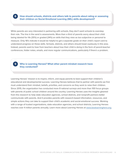**8 How should schools, districts and others talk to parents about rating or assessing their children on Social Emotional Learning (SEL) skills development?** 

While parents are very interested in partnering with schools, they don't want schools to overstep their role. The line in the sand is assessments. More than a third of parents worry about their child being labeled for life (35%) or graded (34%) on skills that they view as too subjective or personal to measure. Only 16% indicate it would be helpful to get a separate grade on their child's report card to understand progress on these skills. Schools, districts, and others should tread cautiously in this area. Instead, parents want to hear from teachers about how their child is doing in the form of parent-teacher conferences, folder notes, emails, and more regular communications, particularly if there's a problem.

### **9 Who is Learning Heroes? What other parent mindset research have they conducted?**

Learning Heroes' mission is to inspire, inform, and equip parents to best support their children's educational and developmental success. Learning Heroes believes that to partner with parents we first must understand their mindset, beliefs, priorities, and concerns as they work to raise their children. Since 2015, the organization has conducted more 8 national surveys and more than 100 focus groups with parents of public school children around the country. Learning Heroes uses the insights gleaned from this research to help state education agencies, school districts, and nonprofit partners better communicate with parents. And it provides parents with research-based information, resources, and simple actions they can take to support their child's academic and social-emotional success. Working with a range of trusted organizations, state education agencies, and school districts, Learning Heroes reaches over 4 million parents annually. Learn more about Learning Heroes at [www.bealearninghero.org.](http://www.bealearninghero.org)